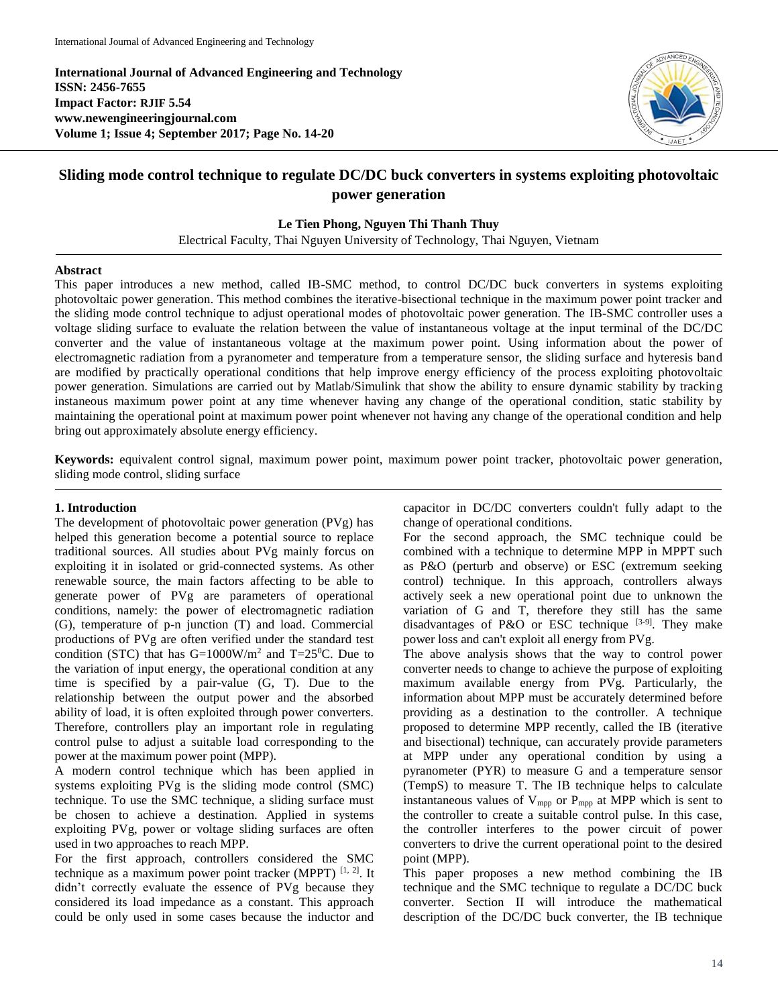**International Journal of Advanced Engineering and Technology ISSN: 2456-7655 Impact Factor: RJIF 5.54 www.newengineeringjournal.com Volume 1; Issue 4; September 2017; Page No. 14-20**



# **Sliding mode control technique to regulate DC/DC buck converters in systems exploiting photovoltaic power generation**

## **Le Tien Phong, Nguyen Thi Thanh Thuy**

Electrical Faculty, Thai Nguyen University of Technology, Thai Nguyen, Vietnam

### **Abstract**

This paper introduces a new method, called IB-SMC method, to control DC/DC buck converters in systems exploiting photovoltaic power generation. This method combines the iterative-bisectional technique in the maximum power point tracker and the sliding mode control technique to adjust operational modes of photovoltaic power generation. The IB-SMC controller uses a voltage sliding surface to evaluate the relation between the value of instantaneous voltage at the input terminal of the DC/DC converter and the value of instantaneous voltage at the maximum power point. Using information about the power of electromagnetic radiation from a pyranometer and temperature from a temperature sensor, the sliding surface and hyteresis band are modified by practically operational conditions that help improve energy efficiency of the process exploiting photovoltaic power generation. Simulations are carried out by Matlab/Simulink that show the ability to ensure dynamic stability by tracking instaneous maximum power point at any time whenever having any change of the operational condition, static stability by maintaining the operational point at maximum power point whenever not having any change of the operational condition and help bring out approximately absolute energy efficiency.

**Keywords:** equivalent control signal, maximum power point, maximum power point tracker, photovoltaic power generation, sliding mode control, sliding surface

## **1. Introduction**

The development of photovoltaic power generation (PVg) has helped this generation become a potential source to replace traditional sources. All studies about PVg mainly forcus on exploiting it in isolated or grid-connected systems. As other renewable source, the main factors affecting to be able to generate power of PVg are parameters of operational conditions, namely: the power of electromagnetic radiation (G), temperature of p-n junction (T) and load. Commercial productions of PVg are often verified under the standard test condition (STC) that has  $G=1000W/m^2$  and T=25<sup>0</sup>C. Due to the variation of input energy, the operational condition at any time is specified by a pair-value (G, T). Due to the relationship between the output power and the absorbed ability of load, it is often exploited through power converters. Therefore, controllers play an important role in regulating control pulse to adjust a suitable load corresponding to the power at the maximum power point (MPP).

A modern control technique which has been applied in systems exploiting PVg is the sliding mode control (SMC) technique. To use the SMC technique, a sliding surface must be chosen to achieve a destination. Applied in systems exploiting PVg, power or voltage sliding surfaces are often used in two approaches to reach MPP.

For the first approach, controllers considered the SMC technique as a maximum power point tracker (MPPT)  $[1, 2]$ . It didn't correctly evaluate the essence of PVg because they considered its load impedance as a constant. This approach could be only used in some cases because the inductor and capacitor in DC/DC converters couldn't fully adapt to the change of operational conditions.

For the second approach, the SMC technique could be combined with a technique to determine MPP in MPPT such as P&O (perturb and observe) or ESC (extremum seeking control) technique. In this approach, controllers always actively seek a new operational point due to unknown the variation of G and T, therefore they still has the same disadvantages of P&O or ESC technique  $[3-9]$ . They make power loss and can't exploit all energy from PVg.

The above analysis shows that the way to control power converter needs to change to achieve the purpose of exploiting maximum available energy from PVg. Particularly, the information about MPP must be accurately determined before providing as a destination to the controller. A technique proposed to determine MPP recently, called the IB (iterative and bisectional) technique, can accurately provide parameters at MPP under any operational condition by using a pyranometer (PYR) to measure G and a temperature sensor (TempS) to measure T. The IB technique helps to calculate instantaneous values of  $V_{mpp}$  or  $P_{mpp}$  at MPP which is sent to the controller to create a suitable control pulse. In this case, the controller interferes to the power circuit of power converters to drive the current operational point to the desired point (MPP).

This paper proposes a new method combining the IB technique and the SMC technique to regulate a DC/DC buck converter. Section II will introduce the mathematical description of the DC/DC buck converter, the IB technique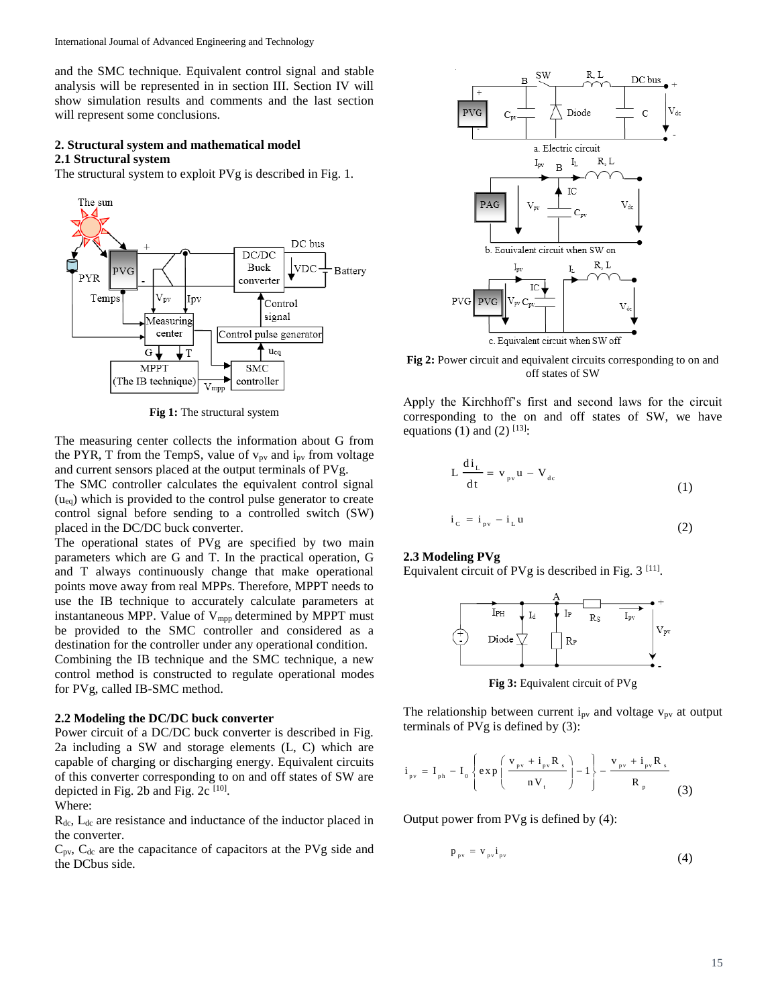and the SMC technique. Equivalent control signal and stable analysis will be represented in in section III. Section IV will show simulation results and comments and the last section will represent some conclusions.

## **2. Structural system and mathematical model 2.1 Structural system**

The structural system to exploit PVg is described in Fig. 1.



**Fig 1:** The structural system

The measuring center collects the information about G from the PYR, T from the TempS, value of  $v_{pv}$  and  $i_{pv}$  from voltage and current sensors placed at the output terminals of PVg.

The SMC controller calculates the equivalent control signal  $(u_{eq})$  which is provided to the control pulse generator to create control signal before sending to a controlled switch (SW) placed in the DC/DC buck converter.

The operational states of PVg are specified by two main parameters which are G and T. In the practical operation, G and T always continuously change that make operational points move away from real MPPs. Therefore, MPPT needs to use the IB technique to accurately calculate parameters at instantaneous MPP. Value of  $V_{mpp}$  determined by MPPT must be provided to the SMC controller and considered as a destination for the controller under any operational condition. Combining the IB technique and the SMC technique, a new control method is constructed to regulate operational modes for PVg, called IB-SMC method.

#### **2.2 Modeling the DC/DC buck converter**

Power circuit of a DC/DC buck converter is described in Fig. 2a including a SW and storage elements (L, C) which are capable of charging or discharging energy. Equivalent circuits of this converter corresponding to on and off states of SW are depicted in Fig. 2b and Fig. 2c  $[10]$ .

Where:

Rdc, Ldc are resistance and inductance of the inductor placed in the converter.

 $C_{pv}$ ,  $C_{dc}$  are the capacitance of capacitors at the PVg side and the DCbus side.



c. Equivalent circuit when SW off

Fig 2: Power circuit and equivalent circuits corresponding to on and off states of SW

Apply the Kirchhoff's first and second laws for the circuit corresponding to the on and off states of SW, we have equations (1) and (2)  $^{[13]}\cdot$ 

$$
L\frac{di_{L}}{dt} = v_{pv}u - V_{dc}
$$
\n
$$
i_{C} = i_{pv} - i_{L}u
$$
\n(1)

#### **2.3 Modeling PVg**

Equivalent circuit of PVg is described in Fig.  $3$  [11].



**Fig 3:** Equivalent circuit of PVg

The relationship between current  $i_{pv}$  and voltage  $v_{pv}$  at output terminals of PVg is defined by (3):

$$
i_{pv} = I_{ph} - I_0 \left\{ exp\left(\frac{v_{pv} + i_{pv}R_s}{nV_t}\right) - 1 \right\} - \frac{v_{pv} + i_{pv}R_s}{R_p}
$$
(3)

Output power from PVg is defined by (4):

$$
p_{\text{pv}} = v_{\text{pv}} i_{\text{pv}} \tag{4}
$$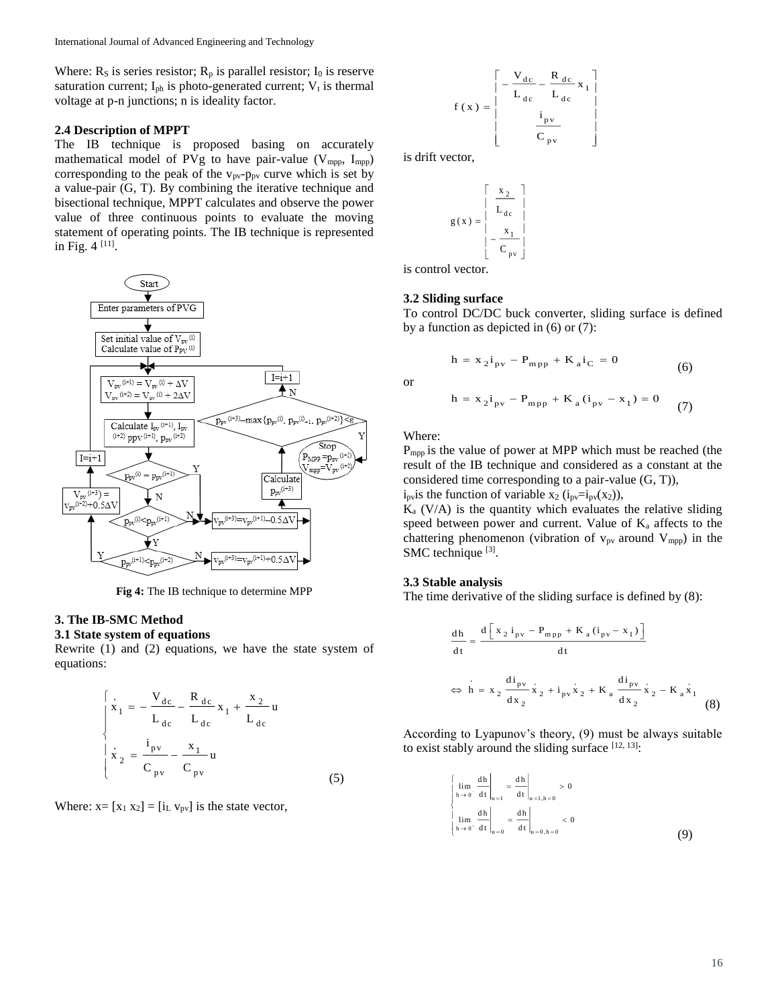Where:  $R_s$  is series resistor;  $R_p$  is parallel resistor;  $I_0$  is reserve saturation current;  $I_{ph}$  is photo-generated current;  $V_t$  is thermal voltage at p-n junctions; n is ideality factor.

#### **2.4 Description of MPPT**

The IB technique is proposed basing on accurately mathematical model of PVg to have pair-value  $(V_{mpp}, I_{mpp})$ corresponding to the peak of the  $v_{pv}$ - $p_{pv}$  curve which is set by a value-pair (G, T). By combining the iterative technique and bisectional technique, MPPT calculates and observe the power value of three continuous points to evaluate the moving statement of operating points. The IB technique is represented in Fig. 4<sup>[11]</sup>.



**Fig 4:** The IB technique to determine MPP

# **3. The IB-SMC Method**

# **3.1 State system of equations**

Rewrite (1) and (2) equations, we have the state system of equations:

$$
\begin{cases}\n\dot{x}_1 = -\frac{V_{dc}}{L_{dc}} - \frac{R_{dc}}{L_{dc}} x_1 + \frac{x_2}{L_{dc}} u \\
\dot{x}_2 = \frac{i_{pv}}{C_{pv}} - \frac{x_1}{C_{pv}} u\n\end{cases}
$$
\n(5)

Where:  $x = [x_1 \ x_2] = [i_L \ v_{pv}]$  is the state vector,

$$
f(x) = \begin{bmatrix} -\frac{V_{dc}}{L_{dc}} - \frac{R_{dc}}{L_{dc}} x_1 \\ \vdots \\ \frac{i_{pv}}{C_{pv}} \end{bmatrix}
$$

is drift vector,

$$
g(x) = \begin{bmatrix} x_2 \\ L_{dc} \\ L_{dc} \\ -\frac{x_1}{C_{pv}} \end{bmatrix}
$$

is control vector.

### **3.2 Sliding surface**

To control DC/DC buck converter, sliding surface is defined by a function as depicted in (6) or (7):

$$
h = x_2 i_{pv} - P_{mpp} + K_a i_C = 0
$$
 (6)

or

$$
h = x_2 i_{pv} - P_{mpp} + K_a (i_{pv} - x_1) = 0
$$
 (7)

Where:

P<sub>mpp</sub> is the value of power at MPP which must be reached (the result of the IB technique and considered as a constant at the considered time corresponding to a pair-value (G, T)),  $i<sub>pv</sub>$  is the function of variable x<sub>2</sub> ( $i<sub>pv</sub>=i<sub>pv</sub>(x<sub>2</sub>)$ ),

 $K_a$  (V/A) is the quantity which evaluates the relative sliding speed between power and current. Value of  $K_a$  affects to the chattering phenomenon (vibration of  $v_{pv}$  around  $V_{mpp}$ ) in the SMC technique [3].

#### **3.3 Stable analysis**

The time derivative of the sliding surface is defined by (8):

$$
\frac{dh}{dt} = \frac{d \left[ x_2 i_{pv} - P_{mpp} + K_a (i_{pv} - x_1) \right]}{dt}
$$
  
\n
$$
\Leftrightarrow h = x_2 \frac{di_{pv}}{dx_2} \dot{x}_2 + i_{pv} \dot{x}_2 + K_a \frac{di_{pv}}{dx_2} \dot{x}_2 - K_a \dot{x}_1
$$
\n(8)

According to Lyapunov's theory, (9) must be always suitable to exist stably around the sliding surface  $[12, 13]$ :

$$
\begin{cases}\n\lim_{h \to 0^{-}} \left. \frac{dh}{dt} \right|_{u=1} = \frac{dh}{dt} \Big|_{u=1, h=0} > 0 \\
\lim_{h \to 0^{+}} \left. \frac{dh}{dt} \right|_{u=0} = \frac{dh}{dt} \Big|_{u=0, h=0} < 0\n\end{cases}
$$
\n(9)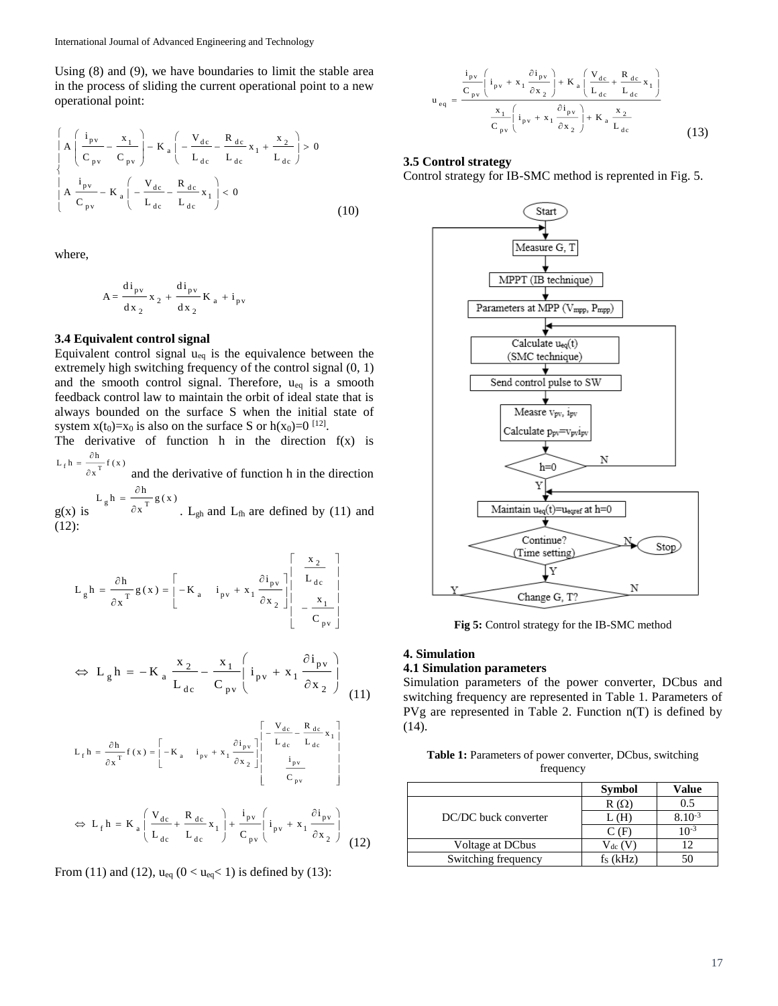Using (8) and (9), we have boundaries to limit the stable area in the process of sliding the current operational point to a new operational point:

$$
\begin{cases}\nA\left(\frac{i_{pv}}{C_{pv}} - \frac{x_1}{C_{pv}}\right) - K_a \left(-\frac{V_{dc}}{L_{dc}} - \frac{R_{dc}}{L_{dc}} x_1 + \frac{x_2}{L_{dc}}\right) > 0 \\
A\frac{i_{pv}}{C_{pv}} - K_a \left(-\frac{V_{dc}}{L_{dc}} - \frac{R_{dc}}{L_{dc}} x_1\right) < 0\n\end{cases}
$$
\n(10)

where,

$$
A = \frac{di_{pv}}{dx_{2}} x_{2} + \frac{di_{pv}}{dx_{2}} K_{a} + i_{pv}
$$

#### **3.4 Equivalent control signal**

Equivalent control signal  $u_{eq}$  is the equivalence between the extremely high switching frequency of the control signal (0, 1) and the smooth control signal. Therefore,  $u_{eq}$  is a smooth feedback control law to maintain the orbit of ideal state that is always bounded on the surface S when the initial state of system  $x(t_0)=x_0$  is also on the surface S or  $h(x_0)=0$  [12].

The derivative of function h in the direction  $f(x)$  is  $L_f h = \frac{\partial h}{\partial x^T} f(x)$  $=\frac{\partial}{\partial x}$ 

 $f'' - T$ and the derivative of function h in the direction

 $g(x)$  is g T  $L_g h = \frac{\partial h}{\partial x^T} g(x)$  $=\frac{\partial h}{\partial x^T} g(x)$ . L<sub>gh</sub> and L<sub>fh</sub> are defined by (11) and (12):

$$
L_{g}h = \frac{\partial h}{\partial x^{T}} g(x) = \begin{bmatrix} -K_{a} & i_{pv} + x_{1} \frac{\partial i_{pv}}{\partial x_{2}} \Big| & L_{dc} \\ -K_{a} & i_{pv} + x_{1} \frac{\partial i_{pv}}{\partial x_{2}} \Big| & -\frac{x_{1}}{C_{pv}} \end{bmatrix}
$$

$$
\Leftrightarrow L_g h = -K_a \frac{x_2}{L_{dc}} - \frac{x_1}{C_{pv}} \left( i_{pv} + x_1 \frac{\partial i_{pv}}{\partial x_2} \right)
$$
(11)

$$
L_{f}h = \frac{\partial h}{\partial x^{T}} f(x) = \begin{bmatrix} -K_{a} & i_{pv} + x_{1} \frac{\partial i_{pv}}{\partial x_{2}} \end{bmatrix} \begin{bmatrix} -\frac{V_{dc}}{L_{dc}} - \frac{R_{dc}}{L_{dc}} x_{1} \\ \frac{i_{pv}}{C_{pv}} \end{bmatrix}
$$

$$
\Leftrightarrow L_{f} h = K_{a} \left( \frac{V_{dc}}{L_{dc}} + \frac{R_{dc}}{L_{dc}} x_{1} \right) + \frac{i_{pv}}{C_{pv}} \left( i_{pv} + x_{1} \frac{\partial i_{pv}}{\partial x_{2}} \right)
$$
(12)

From (11) and (12),  $u_{eq}$  (0 <  $u_{eq}$  < 1) is defined by (13):

$$
u_{eq} = \frac{\frac{i_{pv}}{C_{pv}} \left(i_{pv} + x_1 \frac{\partial i_{pv}}{\partial x_2}\right) + K_a \left(\frac{V_{dc}}{L_{dc}} + \frac{R_{dc}}{L_{dc}} x_1\right)}{\frac{x_1}{C_{pv}} \left(i_{pv} + x_1 \frac{\partial i_{pv}}{\partial x_2}\right) + K_a \frac{x_2}{L_{dc}}}
$$
(13)

## **3.5 Control strategy**

Control strategy for IB-SMC method is reprented in Fig. 5.



**Fig 5:** Control strategy for the IB-SMC method

## **4. Simulation**

# **4.1 Simulation parameters**

Simulation parameters of the power converter, DCbus and switching frequency are represented in Table 1. Parameters of PVg are represented in Table 2. Function n(T) is defined by (14).

**Table 1:** Parameters of power converter, DCbus, switching frequency

|                      | <b>Symbol</b>    | Value            |
|----------------------|------------------|------------------|
| DC/DC buck converter | $R(\Omega)$      | 0.5              |
|                      | L (H)            | $8.10^{-3}$      |
|                      | (F               | 10 <sup>-3</sup> |
| Voltage at DCbus     | $\rm V_{dc}$ (V) |                  |
| Switching frequency  | $f_s$ ( $kHz$ )  |                  |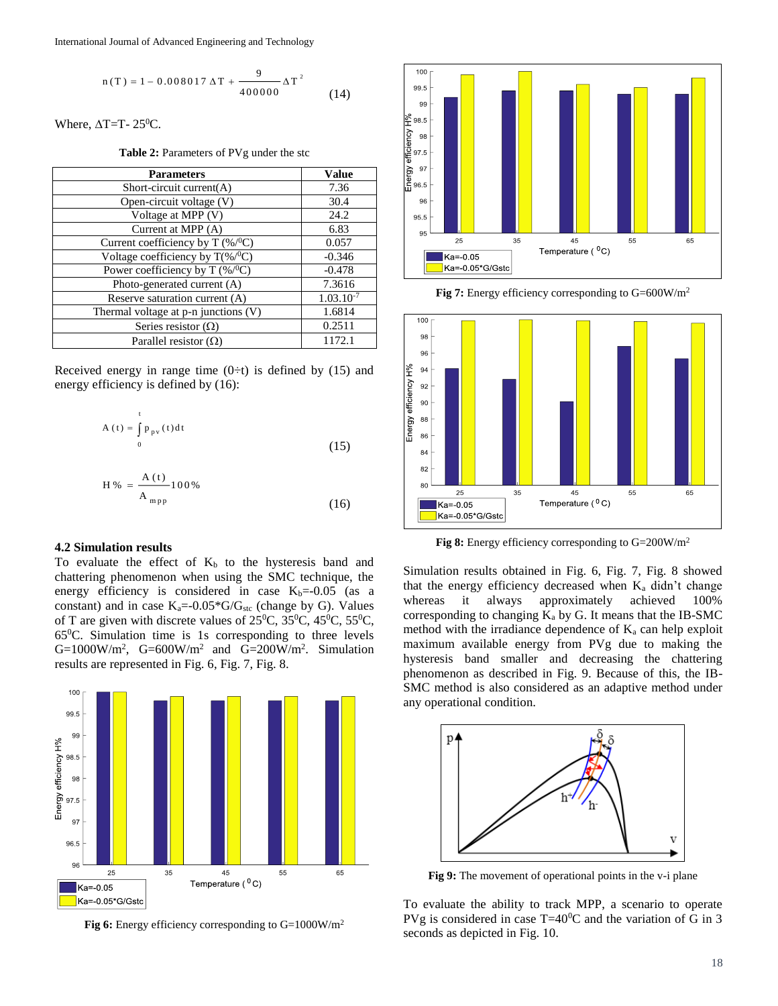International Journal of Advanced Engineering and Technology

$$
n(T) = 1 - 0.008017 \Delta T + \frac{9}{400000} \Delta T^{2}
$$
 (14)

Where,  $\Delta T=T- 25^0C$ .

Table 2: Parameters of PVg under the stc

| <b>Parameters</b>                        | Value          |
|------------------------------------------|----------------|
| Short-circuit current $(A)$              | 7.36           |
| Open-circuit voltage (V)                 | 30.4           |
| Voltage at MPP (V)                       | 24.2           |
| Current at MPP (A)                       | 6.83           |
| Current coefficiency by T (%/°C)         | 0.057          |
| Voltage coefficiency by $T$ (%/°C)       | $-0.346$       |
| Power coefficiency by T $(\% / {}^{0}C)$ | $-0.478$       |
| Photo-generated current (A)              | 7.3616         |
| Reserve saturation current (A)           | $1.03.10^{-7}$ |
| Thermal voltage at p-n junctions (V)     | 1.6814         |
| Series resistor $(\Omega)$               | 0.2511         |
| Parallel resistor $(\Omega)$             | 1172.1         |

Received energy in range time  $(0+*t*)$  is defined by (15) and energy efficiency is defined by (16):

$$
A(t) = \int_{0}^{t} P_{pv}(t)dt
$$
 (15)

$$
H\% = \frac{A(t)}{A_{\rm mpp}} 100\%
$$
 (16)

#### **4.2 Simulation results**

To evaluate the effect of  $K_b$  to the hysteresis band and chattering phenomenon when using the SMC technique, the energy efficiency is considered in case  $K_b$ =-0.05 (as a constant) and in case  $K_a = -0.05 * G/G_{stc}$  (change by G). Values of T are given with discrete values of  $25^{\circ}$ C,  $35^{\circ}$ C,  $45^{\circ}$ C,  $55^{\circ}$ C,  $65^{\circ}$ C. Simulation time is 1s corresponding to three levels  $G=1000W/m^2$ ,  $G=600W/m^2$  and  $G=200W/m^2$ . Simulation results are represented in Fig. 6, Fig. 7, Fig. 8.



**Fig 6:** Energy efficiency corresponding to G=1000W/m<sup>2</sup>



Fig 7: Energy efficiency corresponding to G=600W/m<sup>2</sup>



**Fig 8:** Energy efficiency corresponding to G=200W/m<sup>2</sup>

Simulation results obtained in Fig. 6, Fig. 7, Fig. 8 showed that the energy efficiency decreased when  $K_a$  didn't change whereas it always approximately achieved 100% corresponding to changing  $K_a$  by G. It means that the IB-SMC method with the irradiance dependence of  $K_a$  can help exploit maximum available energy from PVg due to making the hysteresis band smaller and decreasing the chattering phenomenon as described in Fig. 9. Because of this, the IB-SMC method is also considered as an adaptive method under any operational condition.



**Fig 9:** The movement of operational points in the v-i plane

To evaluate the ability to track MPP, a scenario to operate PVg is considered in case  $T=40^{\circ}$ C and the variation of G in 3 seconds as depicted in Fig. 10.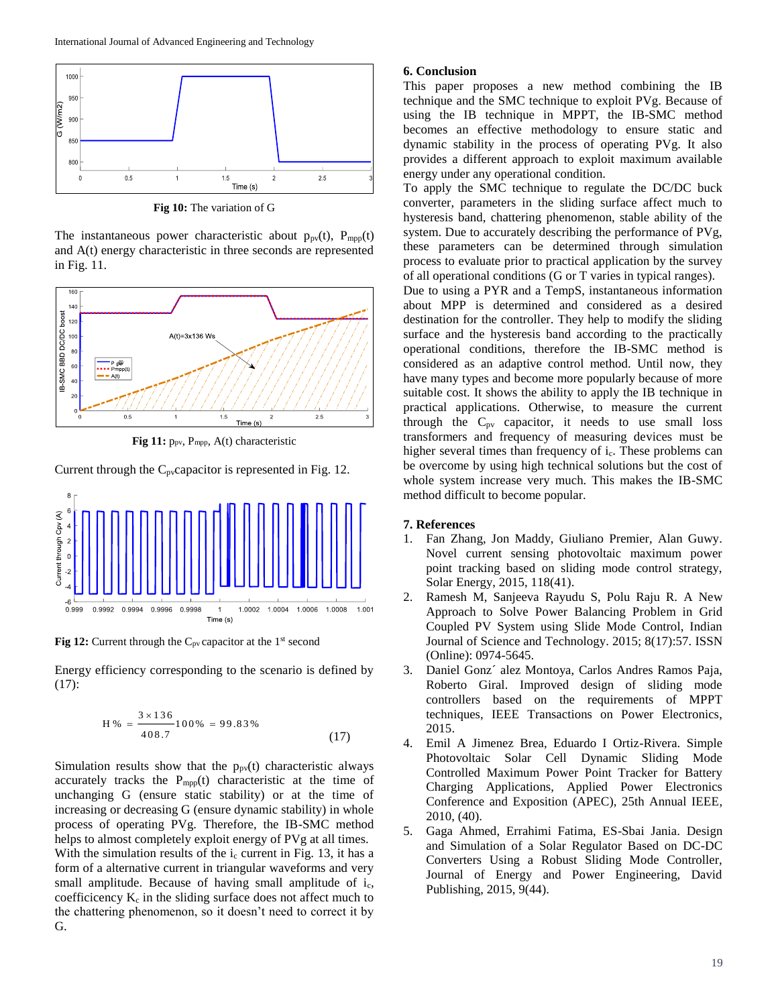

**Fig 10:** The variation of G

The instantaneous power characteristic about  $p_{pv}(t)$ ,  $P_{mpp}(t)$ and A(t) energy characteristic in three seconds are represented in Fig. 11.



Fig 11: p<sub>pv</sub>, P<sub>mpp</sub>, A(t) characteristic

Current through the  $C_{pv}$ capacitor is represented in Fig. 12.



Fig 12: Current through the C<sub>pv</sub> capacitor at the 1<sup>st</sup> second

Energy efficiency corresponding to the scenario is defined by (17):

$$
H\% = \frac{3 \times 136}{408.7} 100\% = 99.83\% \tag{17}
$$

Simulation results show that the  $p_{pv}(t)$  characteristic always accurately tracks the  $P_{mpp}(t)$  characteristic at the time of unchanging G (ensure static stability) or at the time of increasing or decreasing G (ensure dynamic stability) in whole process of operating PVg. Therefore, the IB-SMC method helps to almost completely exploit energy of PVg at all times. With the simulation results of the  $i_c$  current in Fig. 13, it has a form of a alternative current in triangular waveforms and very small amplitude. Because of having small amplitude of i<sub>c</sub>, coefficicency  $K_c$  in the sliding surface does not affect much to the chattering phenomenon, so it doesn't need to correct it by G.

### **6. Conclusion**

This paper proposes a new method combining the IB technique and the SMC technique to exploit PVg. Because of using the IB technique in MPPT, the IB-SMC method becomes an effective methodology to ensure static and dynamic stability in the process of operating PVg. It also provides a different approach to exploit maximum available energy under any operational condition.

To apply the SMC technique to regulate the DC/DC buck converter, parameters in the sliding surface affect much to hysteresis band, chattering phenomenon, stable ability of the system. Due to accurately describing the performance of PVg, these parameters can be determined through simulation process to evaluate prior to practical application by the survey of all operational conditions (G or T varies in typical ranges).

Due to using a PYR and a TempS, instantaneous information about MPP is determined and considered as a desired destination for the controller. They help to modify the sliding surface and the hysteresis band according to the practically operational conditions, therefore the IB-SMC method is considered as an adaptive control method. Until now, they have many types and become more popularly because of more suitable cost. It shows the ability to apply the IB technique in practical applications. Otherwise, to measure the current through the  $C_{pv}$  capacitor, it needs to use small loss transformers and frequency of measuring devices must be higher several times than frequency of  $i<sub>c</sub>$ . These problems can be overcome by using high technical solutions but the cost of whole system increase very much. This makes the IB-SMC method difficult to become popular.

# **7. References**

- 1. Fan Zhang, Jon Maddy, Giuliano Premier, Alan Guwy. Novel current sensing photovoltaic maximum power point tracking based on sliding mode control strategy, Solar Energy, 2015, 118(41).
- 2. Ramesh M, Sanjeeva Rayudu S, Polu Raju R. A New Approach to Solve Power Balancing Problem in Grid Coupled PV System using Slide Mode Control, Indian Journal of Science and Technology. 2015; 8(17):57. ISSN (Online): 0974-5645.
- 3. Daniel Gonz´ alez Montoya, Carlos Andres Ramos Paja, Roberto Giral. Improved design of sliding mode controllers based on the requirements of MPPT techniques, IEEE Transactions on Power Electronics, 2015.
- 4. Emil A Jimenez Brea, Eduardo I Ortiz-Rivera. Simple Photovoltaic Solar Cell Dynamic Sliding Mode Controlled Maximum Power Point Tracker for Battery Charging Applications, Applied Power Electronics Conference and Exposition (APEC), 25th Annual IEEE, 2010, (40).
- 5. Gaga Ahmed, Errahimi Fatima, ES-Sbai Jania. Design and Simulation of a Solar Regulator Based on DC-DC Converters Using a Robust Sliding Mode Controller, Journal of Energy and Power Engineering, David Publishing, 2015, 9(44).